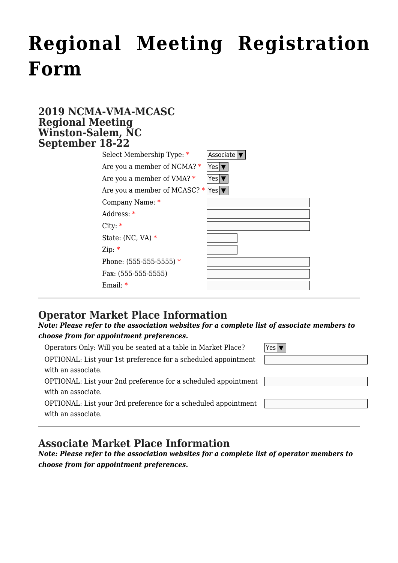# **[Regional Meeting Registration](http://www.ncmotorcoach.org/regional-meeting-registration-form/) [Form](http://www.ncmotorcoach.org/regional-meeting-registration-form/)**

#### **2019 NCMA-VMA-MCASC Regional Meeting Winston-Salem, NC September 18-22**

| 10-22                                  |           |
|----------------------------------------|-----------|
| Select Membership Type: *              | Associate |
| Are you a member of NCMA? $*$          | Yes '     |
| Are you a member of VMA? $*$           | Yes '     |
| Are you a member of MCASC? *   Yes   \ |           |
| Company Name: *                        |           |
| Address: *                             |           |
| City: $*$                              |           |
| State: $(NC, VA)*$                     |           |
| Zip: $*$                               |           |
| Phone: $(555-555-555)$ *               |           |
| Fax: (555-555-5555)                    |           |
| Email: $*$                             |           |
|                                        |           |

## **Operator Market Place Information**

#### *Note: Please refer to the association websites for a complete list of associate members to choose from for appointment preferences.*

Operators Only: Will you be seated at a table in Market Place?  $\boxed{\mathsf{Yes} \blacktriangledown}$ 

OPTIONAL: List your 1st preference for a scheduled appointment with an associate.

OPTIONAL: List your 2nd preference for a scheduled appointment with an associate.

OPTIONAL: List your 3rd preference for a scheduled appointment with an associate.

### **Associate Market Place Information**

*Note: Please refer to the association websites for a complete list of operator members to choose from for appointment preferences.*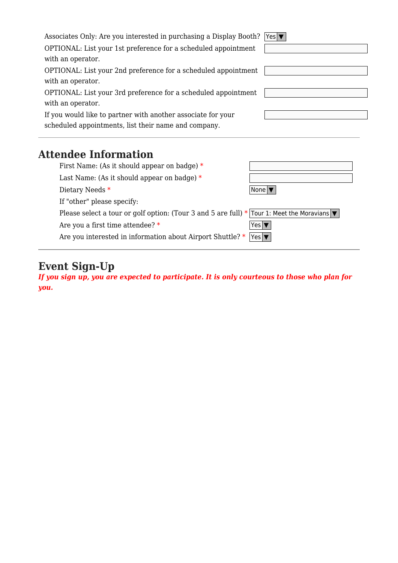| Associates Only: Are you interested in purchasing a Display Booth? | Yes $\blacktriangledown$   |  |
|--------------------------------------------------------------------|----------------------------|--|
| OPTIONAL: List your 1st preference for a scheduled appointment     |                            |  |
| with an operator.                                                  |                            |  |
| OPTIONAL: List your 2nd preference for a scheduled appointment     |                            |  |
| with an operator.                                                  |                            |  |
| OPTIONAL: List your 3rd preference for a scheduled appointment     |                            |  |
| with an operator.                                                  |                            |  |
| If you would like to partner with another associate for your       |                            |  |
| scheduled appointments, list their name and company.               |                            |  |
|                                                                    |                            |  |
| <b>Attendee Information</b>                                        |                            |  |
| First Name: (As it should appear on badge) $*$                     |                            |  |
| Last Name: (As it should appear on badge) $*$                      |                            |  |
| Dietary Needs *                                                    | None <sup>l</sup>          |  |
| If "other" please specify:                                         |                            |  |
| Please select a tour or golf option: (Tour 3 and 5 are full) $*$   | Tour 1: Meet the Moravians |  |
| Are you a first time attendee? *                                   | $Yes   \P$                 |  |

**Event Sign-Up**

*If you sign up, you are expected to participate. It is only courteous to those who plan for you.*

Are you interested in information about Airport Shuttle?  $*$   $|\textnormal{\texttt{Yes}}| \blacktriangledown$